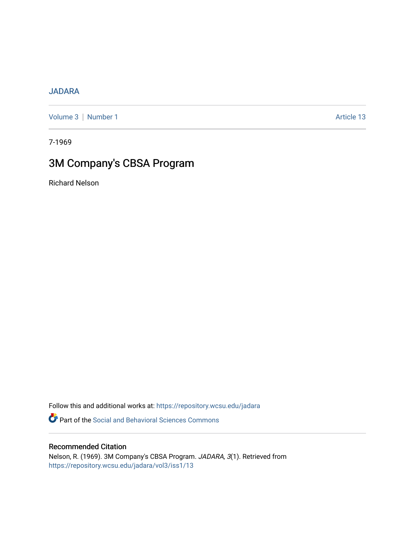## [JADARA](https://repository.wcsu.edu/jadara)

[Volume 3](https://repository.wcsu.edu/jadara/vol3) | [Number 1](https://repository.wcsu.edu/jadara/vol3/iss1) Article 13

7-1969

# 3M Company's CBSA Program

Richard Nelson

Follow this and additional works at: [https://repository.wcsu.edu/jadara](https://repository.wcsu.edu/jadara?utm_source=repository.wcsu.edu%2Fjadara%2Fvol3%2Fiss1%2F13&utm_medium=PDF&utm_campaign=PDFCoverPages)

Part of the [Social and Behavioral Sciences Commons](http://network.bepress.com/hgg/discipline/316?utm_source=repository.wcsu.edu%2Fjadara%2Fvol3%2Fiss1%2F13&utm_medium=PDF&utm_campaign=PDFCoverPages) 

### Recommended Citation

Nelson, R. (1969). 3M Company's CBSA Program. JADARA, 3(1). Retrieved from [https://repository.wcsu.edu/jadara/vol3/iss1/13](https://repository.wcsu.edu/jadara/vol3/iss1/13?utm_source=repository.wcsu.edu%2Fjadara%2Fvol3%2Fiss1%2F13&utm_medium=PDF&utm_campaign=PDFCoverPages)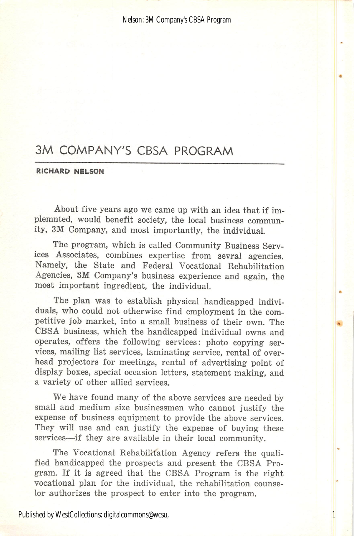#### Nelson: 3M Company's CBSA Program

# 3M COMPANY'S CBSA PROGRAM

#### RICHARD NELSON

About five years ago we came up with an idea that if implemnted, would benefit society, the local business commun ity, 3M Company, and most importantly, the individual.

The program, which is called Community Business Serv ices Associates, combines expertise from sevral agencies. Namely, the State and Federal Vocational Rehabilitation Agencies, 3M Company's business experience and again, the most important ingredient, the individual.

The plan was to establish physical handicapped indivi duals, who could not otherwise find employment in the com petitive job market, into a small business of their own. The CBSA business, which the handicapped individual owns and operates, offers the following services: photo copying ser vices, mailing list services, laminating service, rental of over head projectors for meetings, rental of advertising point of display boxes, special occasion letters, statement making, and a variety of other allied services.

We have found many of the above services are needed by small and medium size businessmen who cannot justify the expense of business equipment to provide the above services. They will use and can justify the expense of buying these services—if they are available in their local community.

The Vocational Rehabilitation Agency refers the qualified handicapped the prospects and present the CBSA Pro gram. If it is agreed that the CBSA Program is the right vocational plan for the individual, the rehabilitation counse lor authorizes the prospect to enter into the program.

1

Published by WestCollections: digitalcommons@wcsu,